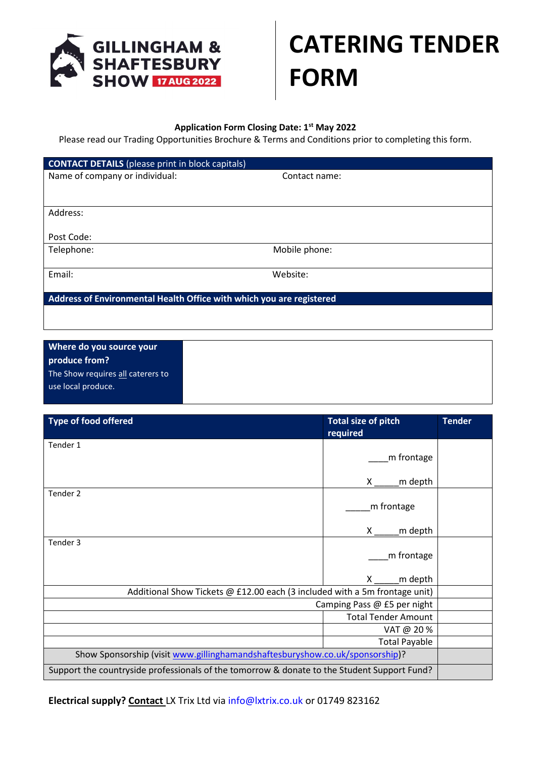

## **CATERING TENDER FORM**

## **Application Form Closing Date: 1st May 2022**

Please read our Trading Opportunities Brochure & Terms and Conditions prior to completing this form.

| <b>CONTACT DETAILS</b> (please print in block capitals)              |               |  |  |  |  |  |
|----------------------------------------------------------------------|---------------|--|--|--|--|--|
| Name of company or individual:                                       | Contact name: |  |  |  |  |  |
|                                                                      |               |  |  |  |  |  |
|                                                                      |               |  |  |  |  |  |
| Address:                                                             |               |  |  |  |  |  |
|                                                                      |               |  |  |  |  |  |
| Post Code:                                                           |               |  |  |  |  |  |
| Telephone:                                                           | Mobile phone: |  |  |  |  |  |
|                                                                      |               |  |  |  |  |  |
| Email:                                                               | Website:      |  |  |  |  |  |
|                                                                      |               |  |  |  |  |  |
| Address of Environmental Health Office with which you are registered |               |  |  |  |  |  |
|                                                                      |               |  |  |  |  |  |
|                                                                      |               |  |  |  |  |  |
|                                                                      |               |  |  |  |  |  |
| Where do you source your                                             |               |  |  |  |  |  |
| produce from?                                                        |               |  |  |  |  |  |
| The Show requires all caterers to                                    |               |  |  |  |  |  |

use local produce.

| <b>Type of food offered</b>                                                                 | <b>Total size of pitch</b><br>required | <b>Tender</b> |  |  |  |
|---------------------------------------------------------------------------------------------|----------------------------------------|---------------|--|--|--|
| Tender 1                                                                                    |                                        |               |  |  |  |
|                                                                                             | m frontage                             |               |  |  |  |
|                                                                                             | m depth<br>X                           |               |  |  |  |
| Tender 2                                                                                    |                                        |               |  |  |  |
|                                                                                             | m frontage                             |               |  |  |  |
|                                                                                             | m depth<br>X.                          |               |  |  |  |
| Tender 3                                                                                    |                                        |               |  |  |  |
|                                                                                             | m frontage                             |               |  |  |  |
|                                                                                             | m depth<br>X                           |               |  |  |  |
| Additional Show Tickets @ £12.00 each (3 included with a 5m frontage unit)                  |                                        |               |  |  |  |
| Camping Pass @ £5 per night                                                                 |                                        |               |  |  |  |
|                                                                                             | <b>Total Tender Amount</b>             |               |  |  |  |
|                                                                                             | VAT @ 20%                              |               |  |  |  |
|                                                                                             | <b>Total Payable</b>                   |               |  |  |  |
| Show Sponsorship (visit www.gillinghamandshaftesburyshow.co.uk/sponsorship)?                |                                        |               |  |  |  |
| Support the countryside professionals of the tomorrow & donate to the Student Support Fund? |                                        |               |  |  |  |

**Electrical supply? Contact** LX Trix Ltd via [info@lxtrix.co.uk](mailto:info@lxtrix.co.uk) or 01749 823162